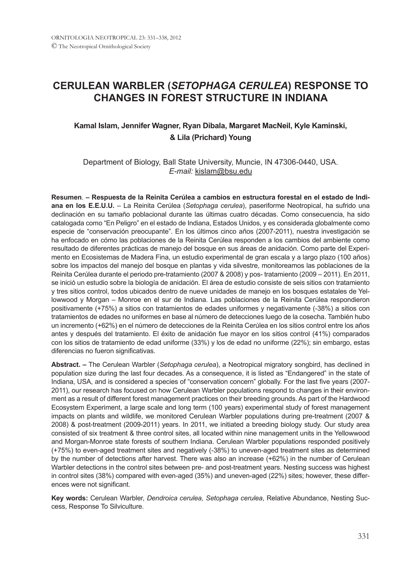# **CERULEAN WARBLER (***SETOPHAGA CERULEA***) RESPONSE TO CHANGES IN FOREST STRUCTURE IN INDIANA**

## **Kamal Islam, Jennifer Wagner, Ryan Dibala, Margaret MacNeil, Kyle Kaminski, & Lila (Prichard) Young**

### Department of Biology, Ball State University, Muncie, IN 47306-0440, USA. *E-mail:* kislam@bsu.edu

**Resumen**. **– Respuesta de la Reinita Cerúlea a cambios en estructura forestal en el estado de Indiana en los E.E.U.U.** – La Reinita Cerúlea (*Setophaga cerulea*), paseriforme Neotropical, ha sufrido una declinación en su tamaño poblacional durante las últimas cuatro décadas. Como consecuencia, ha sido catalogada como "En Peligro" en el estado de Indiana, Estados Unidos, y es considerada globalmente como especie de "conservación preocupante". En los últimos cinco años (2007-2011), nuestra investigación se ha enfocado en cómo las poblaciones de la Reinita Cerúlea responden a los cambios del ambiente como resultado de diferentes prácticas de manejo del bosque en sus áreas de anidación. Como parte del Experimento en Ecosistemas de Madera Fina, un estudio experimental de gran escala y a largo plazo (100 años) sobre los impactos del manejo del bosque en plantas y vida silvestre, monitoreamos las poblaciones de la Reinita Cerúlea durante el periodo pre-tratamiento (2007 & 2008) y pos- tratamiento (2009 – 2011). En 2011, se inició un estudio sobre la biología de anidación. El área de estudio consiste de seis sitios con tratamiento y tres sitios control, todos ubicados dentro de nueve unidades de manejo en los bosques estatales de Yellowwood y Morgan – Monroe en el sur de Indiana. Las poblaciones de la Reinita Cerúlea respondieron positivamente (+75%) a sitios con tratamientos de edades uniformes y negativamente (-38%) a sitios con tratamientos de edades no uniformes en base al número de detecciones luego de la cosecha. También hubo un incremento (+62%) en el número de detecciones de la Reinita Cerúlea en los sitios control entre los años antes y después del tratamiento. El éxito de anidación fue mayor en los sitios control (41%) comparados con los sitios de tratamiento de edad uniforme (33%) y los de edad no uniforme (22%); sin embargo, estas diferencias no fueron significativas.

**Abstract. –** The Cerulean Warbler (*Setophaga cerulea*), a Neotropical migratory songbird, has declined in population size during the last four decades. As a consequence, it is listed as "Endangered" in the state of Indiana, USA, and is considered a species of "conservation concern" globally. For the last five years (2007- 2011), our research has focused on how Cerulean Warbler populations respond to changes in their environment as a result of different forest management practices on their breeding grounds. As part of the Hardwood Ecosystem Experiment, a large scale and long term (100 years) experimental study of forest management impacts on plants and wildlife, we monitored Cerulean Warbler populations during pre-treatment (2007 & 2008) & post-treatment (2009-2011) years. In 2011, we initiated a breeding biology study. Our study area consisted of six treatment & three control sites, all located within nine management units in the Yellowwood and Morgan-Monroe state forests of southern Indiana. Cerulean Warbler populations responded positively (+75%) to even-aged treatment sites and negatively (-38%) to uneven-aged treatment sites as determined by the number of detections after harvest. There was also an increase (+62%) in the number of Cerulean Warbler detections in the control sites between pre- and post-treatment years. Nesting success was highest in control sites (38%) compared with even-aged (35%) and uneven-aged (22%) sites; however, these differences were not significant.

**Key words:** Cerulean Warbler, *Dendroica cerulea, Setophaga cerulea*, Relative Abundance, Nesting Success, Response To Silviculture.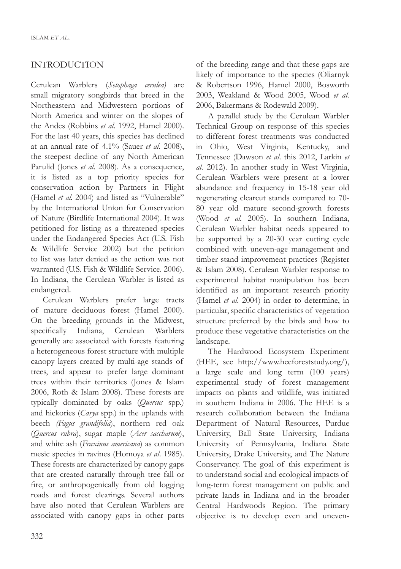## INTRODUCTION

Cerulean Warblers (*Setophaga cerulea)* are small migratory songbirds that breed in the Northeastern and Midwestern portions of North America and winter on the slopes of the Andes (Robbins *et al*. 1992, Hamel 2000). For the last 40 years, this species has declined at an annual rate of 4.1% (Sauer *et al.* 2008), the steepest decline of any North American Parulid (Jones *et al.* 2008). As a consequence, it is listed as a top priority species for conservation action by Partners in Flight (Hamel *et al.* 2004) and listed as "Vulnerable" by the International Union for Conservation of Nature (Birdlife International 2004). It was petitioned for listing as a threatened species under the Endangered Species Act (U.S. Fish & Wildlife Service 2002) but the petition to list was later denied as the action was not warranted (U.S. Fish & Wildlife Service. 2006). In Indiana, the Cerulean Warbler is listed as endangered.

Cerulean Warblers prefer large tracts of mature deciduous forest (Hamel 2000). On the breeding grounds in the Midwest, specifically Indiana, Cerulean Warblers generally are associated with forests featuring a heterogeneous forest structure with multiple canopy layers created by multi-age stands of trees, and appear to prefer large dominant trees within their territories (Jones & Islam 2006, Roth & Islam 2008). These forests are typically dominated by oaks (*Quercus* spp.) and hickories (*Carya* spp.) in the uplands with beech *(Fagus grandifolia*), northern red oak (*Quercus rubra*), sugar maple (*Acer saccharum*), and white ash (*Fraxinus americana*) as common mesic species in ravines (Homoya *et al*. 1985). These forests are characterized by canopy gaps that are created naturally through tree fall or fire, or anthropogenically from old logging roads and forest clearings. Several authors have also noted that Cerulean Warblers are associated with canopy gaps in other parts of the breeding range and that these gaps are likely of importance to the species (Oliarnyk & Robertson 1996, Hamel 2000, Bosworth 2003, Weakland & Wood 2005, Wood *et al*. 2006, Bakermans & Rodewald 2009).

A parallel study by the Cerulean Warbler Technical Group on response of this species to different forest treatments was conducted in Ohio, West Virginia, Kentucky, and Tennessee (Dawson *et al*. this 2012, Larkin *et al*. 2012). In another study in West Virginia, Cerulean Warblers were present at a lower abundance and frequency in 15-18 year old regenerating clearcut stands compared to 70- 80 year old mature second-growth forests (Wood *et al.* 2005). In southern Indiana, Cerulean Warbler habitat needs appeared to be supported by a 20-30 year cutting cycle combined with uneven-age management and timber stand improvement practices (Register & Islam 2008). Cerulean Warbler response to experimental habitat manipulation has been identified as an important research priority (Hamel *et al.* 2004) in order to determine, in particular, specific characteristics of vegetation structure preferred by the birds and how to produce these vegetative characteristics on the landscape.

The Hardwood Ecosystem Experiment (HEE, see http://www.heeforeststudy.org/), a large scale and long term (100 years) experimental study of forest management impacts on plants and wildlife, was initiated in southern Indiana in 2006. The HEE is a research collaboration between the Indiana Department of Natural Resources, Purdue University, Ball State University, Indiana University of Pennsylvania, Indiana State University, Drake University, and The Nature Conservancy. The goal of this experiment is to understand social and ecological impacts of long-term forest management on public and private lands in Indiana and in the broader Central Hardwoods Region. The primary objective is to develop even and uneven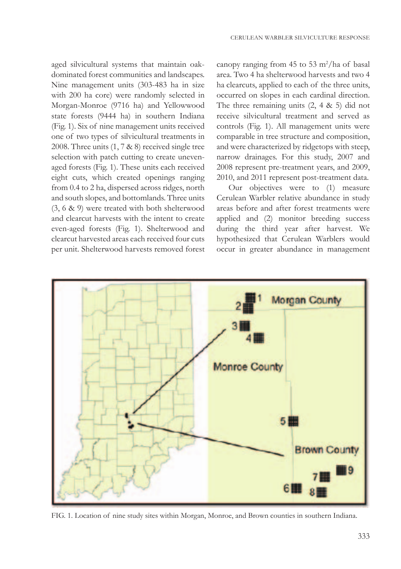aged silvicultural systems that maintain oakdominated forest communities and landscapes. Nine management units (303-483 ha in size with 200 ha core) were randomly selected in Morgan-Monroe (9716 ha) and Yellowwood state forests (9444 ha) in southern Indiana (Fig. 1). Six of nine management units received one of two types of silvicultural treatments in 2008. Three units (1, 7 & 8) received single tree selection with patch cutting to create unevenaged forests (Fig. 1). These units each received eight cuts, which created openings ranging from 0.4 to 2 ha, dispersed across ridges, north and south slopes, and bottomlands. Three units (3, 6 & 9) were treated with both shelterwood and clearcut harvests with the intent to create even-aged forests (Fig. 1). Shelterwood and clearcut harvested areas each received four cuts per unit. Shelterwood harvests removed forest

canopy ranging from  $45$  to  $53 \text{ m}^2/\text{ha}$  of basal area. Two 4 ha shelterwood harvests and two 4 ha clearcuts, applied to each of the three units, occurred on slopes in each cardinal direction. The three remaining units  $(2, 4 \& 5)$  did not receive silvicultural treatment and served as controls (Fig. 1). All management units were comparable in tree structure and composition, and were characterized by ridgetops with steep, narrow drainages. For this study, 2007 and 2008 represent pre-treatment years, and 2009, 2010, and 2011 represent post-treatment data.

Our objectives were to (1) measure Cerulean Warbler relative abundance in study areas before and after forest treatments were applied and (2) monitor breeding success during the third year after harvest. We hypothesized that Cerulean Warblers would occur in greater abundance in management



FIG. 1. Location of nine study sites within Morgan, Monroe, and Brown counties in southern Indiana.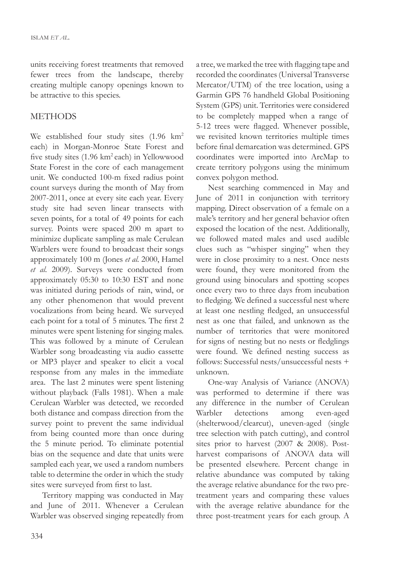units receiving forest treatments that removed fewer trees from the landscape, thereby creating multiple canopy openings known to be attractive to this species.

## **METHODS**

We established four study sites (1.96 km<sup>2</sup> each) in Morgan-Monroe State Forest and five study sites (1.96 km2 each) in Yellowwood State Forest in the core of each management unit. We conducted 100-m fixed radius point count surveys during the month of May from 2007-2011, once at every site each year. Every study site had seven linear transects with seven points, for a total of 49 points for each survey. Points were spaced 200 m apart to minimize duplicate sampling as male Cerulean Warblers were found to broadcast their songs approximately 100 m (Jones *et al.* 2000, Hamel *et al*. 2009). Surveys were conducted from approximately 05:30 to 10:30 EST and none was initiated during periods of rain, wind, or any other phenomenon that would prevent vocalizations from being heard. We surveyed each point for a total of 5 minutes. The first 2 minutes were spent listening for singing males. This was followed by a minute of Cerulean Warbler song broadcasting via audio cassette or MP3 player and speaker to elicit a vocal response from any males in the immediate area. The last 2 minutes were spent listening without playback (Falls 1981). When a male Cerulean Warbler was detected, we recorded both distance and compass direction from the survey point to prevent the same individual from being counted more than once during the 5 minute period. To eliminate potential bias on the sequence and date that units were sampled each year, we used a random numbers table to determine the order in which the study sites were surveyed from first to last.

Territory mapping was conducted in May and June of 2011. Whenever a Cerulean Warbler was observed singing repeatedly from a tree, we marked the tree with flagging tape and recorded the coordinates (Universal Transverse Mercator/UTM) of the tree location, using a Garmin GPS 76 handheld Global Positioning System (GPS) unit. Territories were considered to be completely mapped when a range of 5-12 trees were flagged. Whenever possible, we revisited known territories multiple times before final demarcation was determined. GPS coordinates were imported into ArcMap to create territory polygons using the minimum convex polygon method.

Nest searching commenced in May and June of 2011 in conjunction with territory mapping. Direct observation of a female on a male's territory and her general behavior often exposed the location of the nest. Additionally, we followed mated males and used audible clues such as "whisper singing" when they were in close proximity to a nest. Once nests were found, they were monitored from the ground using binoculars and spotting scopes once every two to three days from incubation to fledging. We defined a successful nest where at least one nestling fledged, an unsuccessful nest as one that failed, and unknown as the number of territories that were monitored for signs of nesting but no nests or fledglings were found. We defined nesting success as follows: Successful nests/unsuccessful nests + unknown.

One-way Analysis of Variance (ANOVA) was performed to determine if there was any difference in the number of Cerulean Warbler detections among even-aged (shelterwood/clearcut), uneven-aged (single tree selection with patch cutting), and control sites prior to harvest (2007 & 2008). Postharvest comparisons of ANOVA data will be presented elsewhere. Percent change in relative abundance was computed by taking the average relative abundance for the two pretreatment years and comparing these values with the average relative abundance for the three post-treatment years for each group. A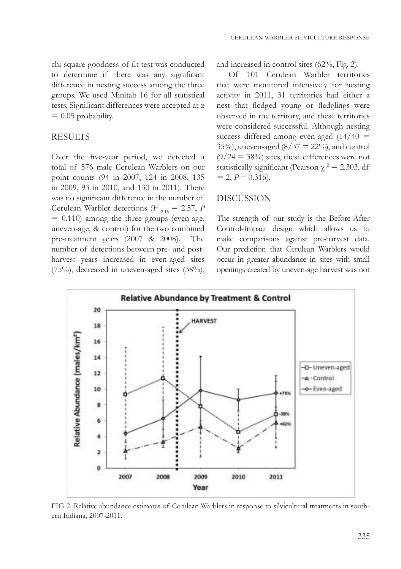chi-square goodness-of-fit test was conducted to determine if there was any significant difference in nesting success among the three groups. We used Minitab 16 for all statistical tests. Significant differences were accepted at α  $= 0.05$  probability.

## **RESULTS**

Over the five-year period, we detected a total of 576 male Cerulean Warblers on our point counts (94 in 2007, 124 in 2008, 135 in 2009, 93 in 2010, and 130 in 2011). There was no significant difference in the number of Cerulean Warbler detections ( $F_{2,15} = 2.57$ , *P*  $= 0.110$ ) among the three groups (even-age, uneven-age, & control) for the two combined pre-treatment years (2007 & 2008). The number of detections between pre- and postharvest years increased in even-aged sites (75%), decreased in uneven-aged sites (38%), and increased in control sites (62%, Fig. 2).

Of 101 Cerulean Warbler territories that were monitored intensively for nesting activity in 2011, 31 territories had either a nest that fledged young or fledglings were observed in the territory, and these territories were considered successful. Although nesting success differed among even-aged  $(14/40 =$ 35%), uneven-aged  $(8/37 = 22%)$ , and control  $(9/24 = 38\%)$  sites, these differences were not statistically significant (Pearson  $\chi^2 = 2.303$ , df  $= 2, P = 0.316$ .

#### DISCUSSION

The strength of our study is the Before-After Control-Impact design which allows us to make comparisons against pre-harvest data. Our prediction that Cerulean Warblers would occur in greater abundance in sites with small openings created by uneven-age harvest was not



FIG 2. Relative abundance estimates of Cerulean Warblers in response to silvicultural treatments in southern Indiana, 2007-2011.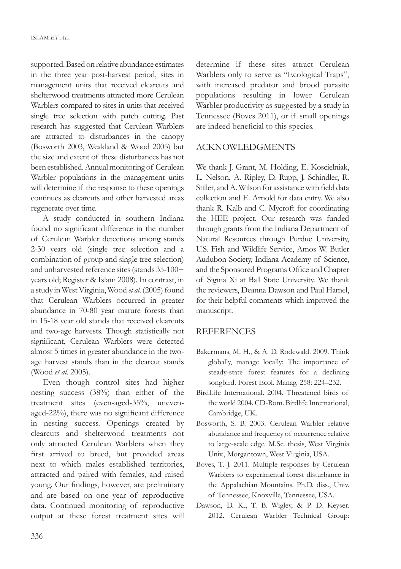supported. Based on relative abundance estimates in the three year post-harvest period, sites in management units that received clearcuts and shelterwood treatments attracted more Cerulean Warblers compared to sites in units that received single tree selection with patch cutting. Past research has suggested that Cerulean Warblers are attracted to disturbances in the canopy (Bosworth 2003, Weakland & Wood 2005) but the size and extent of these disturbances has not been established. Annual monitoring of Cerulean Warbler populations in the management units will determine if the response to these openings continues as clearcuts and other harvested areas regenerate over time.

A study conducted in southern Indiana found no significant difference in the number of Cerulean Warbler detections among stands 2-30 years old (single tree selection and a combination of group and single tree selection) and unharvested reference sites (stands 35-100+ years old; Register & Islam 2008). In contrast, in a study in West Virginia, Wood *et al*. (2005) found that Cerulean Warblers occurred in greater abundance in 70-80 year mature forests than in 15-18 year old stands that received clearcuts and two-age harvests. Though statistically not significant, Cerulean Warblers were detected almost 5 times in greater abundance in the twoage harvest stands than in the clearcut stands (Wood *et al*. 2005).

Even though control sites had higher nesting success (38%) than either of the treatment sites (even-aged-35%, unevenaged-22%), there was no significant difference in nesting success. Openings created by clearcuts and shelterwood treatments not only attracted Cerulean Warblers when they first arrived to breed, but provided areas next to which males established territories, attracted and paired with females, and raised young. Our findings, however, are preliminary and are based on one year of reproductive data. Continued monitoring of reproductive output at these forest treatment sites will

determine if these sites attract Cerulean Warblers only to serve as "Ecological Traps", with increased predator and brood parasite populations resulting in lower Cerulean Warbler productivity as suggested by a study in Tennessee (Boves 2011), or if small openings are indeed beneficial to this species.

#### ACKNOWLEDGMENTS

We thank J. Grant, M. Holding, E. Koscielniak, L. Nelson, A. Ripley, D. Rupp, J. Schindler, R. Stiller, and A. Wilson for assistance with field data collection and E. Arnold for data entry. We also thank R. Kalb and C. Mycroft for coordinating the HEE project. Our research was funded through grants from the Indiana Department of Natural Resources through Purdue University, U.S. Fish and Wildlife Service, Amos W. Butler Audubon Society, Indiana Academy of Science, and the Sponsored Programs Office and Chapter of Sigma Xi at Ball State University. We thank the reviewers, Deanna Dawson and Paul Hamel, for their helpful comments which improved the manuscript.

#### REFERENCES

- Bakermans, M. H., & A. D. Rodewald. 2009. Think globally, manage locally: The importance of steady-state forest features for a declining songbird. Forest Ecol. Manag. 258: 224–232.
- BirdLife International. 2004. Threatened birds of the world 2004. CD-Rom. Birdlife International, Cambridge, UK.
- Bosworth, S. B. 2003. Cerulean Warbler relative abundance and frequency of occurrence relative to large-scale edge. M.Sc. thesis, West Virginia Univ., Morgantown, West Virginia, USA.
- Boves, T. J. 2011. Multiple responses by Cerulean Warblers to experimental forest disturbance in the Appalachian Mountains. Ph.D. diss., Univ. of Tennessee, Knoxville, Tennessee, USA.
- Dawson, D. K., T. B. Wigley, & P. D. Keyser. 2012. Cerulean Warbler Technical Group: